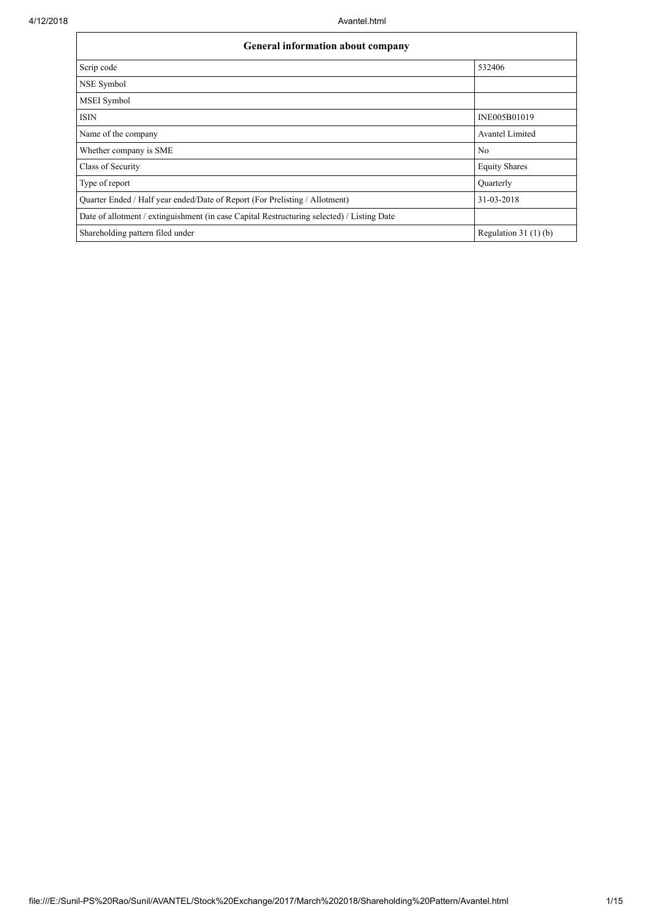| General information about company                                                          |                       |  |  |  |  |  |
|--------------------------------------------------------------------------------------------|-----------------------|--|--|--|--|--|
| Scrip code                                                                                 | 532406                |  |  |  |  |  |
| NSE Symbol                                                                                 |                       |  |  |  |  |  |
| <b>MSEI</b> Symbol                                                                         |                       |  |  |  |  |  |
| <b>ISIN</b>                                                                                | INE005B01019          |  |  |  |  |  |
| Name of the company                                                                        | Avantel Limited       |  |  |  |  |  |
| Whether company is SME                                                                     | No                    |  |  |  |  |  |
| Class of Security                                                                          | <b>Equity Shares</b>  |  |  |  |  |  |
| Type of report                                                                             | Quarterly             |  |  |  |  |  |
| Quarter Ended / Half year ended/Date of Report (For Prelisting / Allotment)                | 31-03-2018            |  |  |  |  |  |
| Date of allotment / extinguishment (in case Capital Restructuring selected) / Listing Date |                       |  |  |  |  |  |
| Shareholding pattern filed under                                                           | Regulation $31(1)(b)$ |  |  |  |  |  |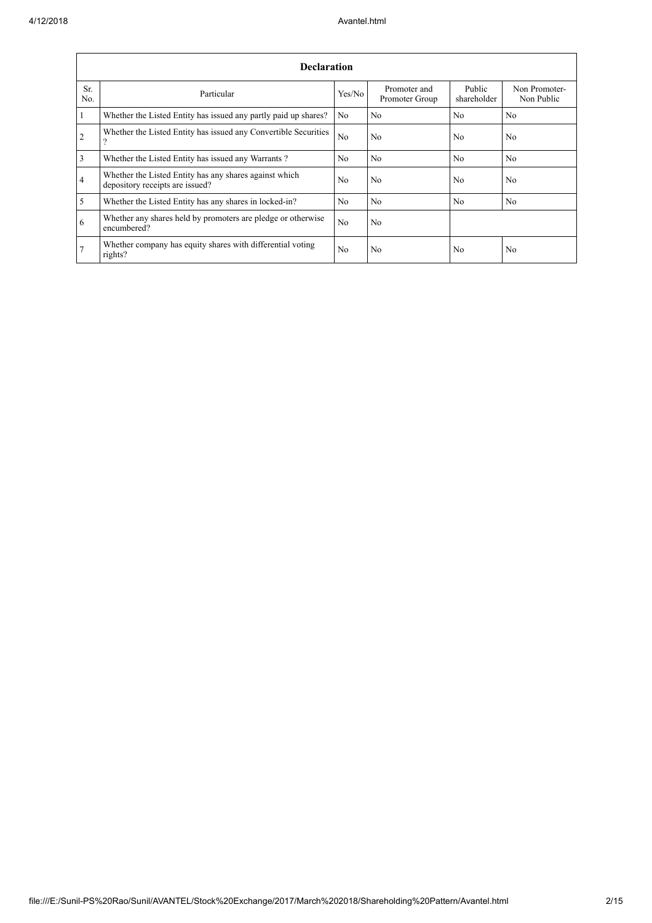|                | <b>Declaration</b>                                                                          |                |                                |                       |                             |  |  |  |  |  |  |
|----------------|---------------------------------------------------------------------------------------------|----------------|--------------------------------|-----------------------|-----------------------------|--|--|--|--|--|--|
| Sr.<br>No.     | Particular                                                                                  | Yes/No         | Promoter and<br>Promoter Group | Public<br>shareholder | Non Promoter-<br>Non Public |  |  |  |  |  |  |
| $\vert$ 1      | Whether the Listed Entity has issued any partly paid up shares?                             | No             | No                             | N <sub>o</sub>        | N <sub>o</sub>              |  |  |  |  |  |  |
| $\overline{2}$ | Whether the Listed Entity has issued any Convertible Securities<br>$\overline{\mathcal{L}}$ | N <sub>o</sub> | N <sub>o</sub>                 | N <sub>0</sub>        | N <sub>0</sub>              |  |  |  |  |  |  |
| $\overline{3}$ | Whether the Listed Entity has issued any Warrants?                                          | N <sub>o</sub> | N <sub>0</sub>                 | N <sub>o</sub>        | N <sub>o</sub>              |  |  |  |  |  |  |
| $\overline{4}$ | Whether the Listed Entity has any shares against which<br>depository receipts are issued?   | N <sub>0</sub> | N <sub>o</sub>                 | N <sub>0</sub>        | N <sub>o</sub>              |  |  |  |  |  |  |
| $\overline{5}$ | Whether the Listed Entity has any shares in locked-in?                                      | N <sub>o</sub> | N <sub>0</sub>                 | N <sub>0</sub>        | N <sub>o</sub>              |  |  |  |  |  |  |
| 6              | Whether any shares held by promoters are pledge or otherwise<br>encumbered?                 | N <sub>o</sub> | N <sub>o</sub>                 |                       |                             |  |  |  |  |  |  |
| 7              | Whether company has equity shares with differential voting<br>rights?                       | N <sub>o</sub> | N <sub>o</sub>                 | No                    | No                          |  |  |  |  |  |  |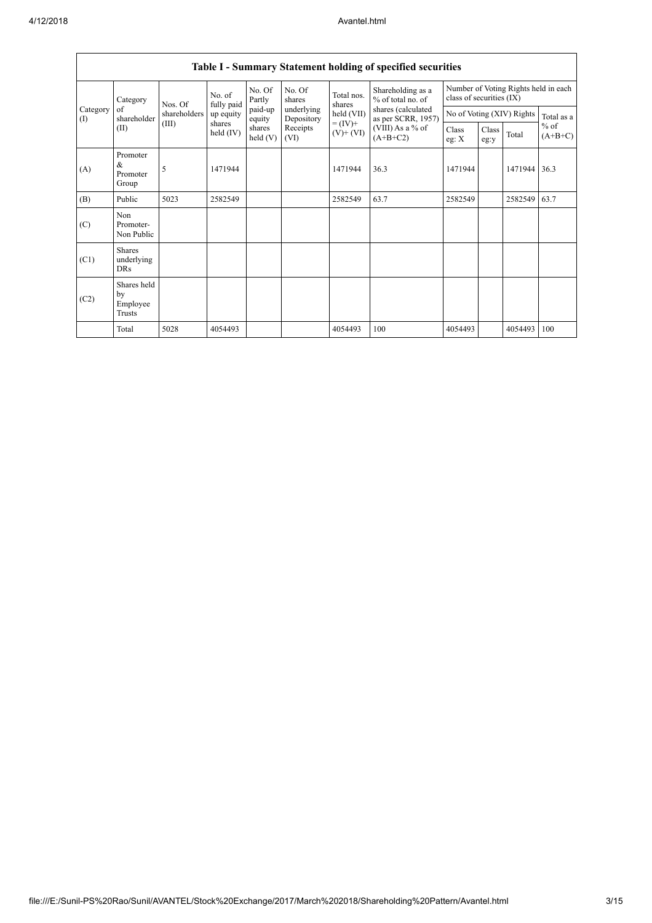|                 | <b>Table I - Summary Statement holding of specified securities</b> |              |                      |                   |                          |                                    |                                          |                                                                  |               |                           |                     |  |  |
|-----------------|--------------------------------------------------------------------|--------------|----------------------|-------------------|--------------------------|------------------------------------|------------------------------------------|------------------------------------------------------------------|---------------|---------------------------|---------------------|--|--|
|                 | Category<br>of<br>shareholder                                      | Nos. Of      | No. of<br>fully paid | No. Of<br>Partly  | No. Of<br>shares         | Total nos.<br>shares<br>held (VII) | Shareholding as a<br>$%$ of total no. of | Number of Voting Rights held in each<br>class of securities (IX) |               |                           |                     |  |  |
| Category<br>(1) |                                                                    | shareholders | up equity            | paid-up<br>equity | underlying<br>Depository |                                    | shares (calculated<br>as per SCRR, 1957) |                                                                  |               | No of Voting (XIV) Rights | Total as a          |  |  |
|                 | (II)                                                               | (III)        | shares<br>held (IV)  |                   | Receipts<br>(VI)         | $= (IV) +$<br>$(V)$ + $(VI)$       | (VIII) As a % of<br>$(A+B+C2)$           | Class<br>eg: $X$                                                 | Class<br>eg:y | Total                     | $%$ of<br>$(A+B+C)$ |  |  |
| (A)             | Promoter<br>&<br>Promoter<br>Group                                 | 5            | 1471944              |                   |                          | 1471944                            | 36.3                                     | 1471944                                                          |               | 1471944                   | 36.3                |  |  |
| (B)             | Public                                                             | 5023         | 2582549              |                   |                          | 2582549                            | 63.7                                     | 2582549                                                          |               | 2582549                   | 63.7                |  |  |
| (C)             | Non<br>Promoter-<br>Non Public                                     |              |                      |                   |                          |                                    |                                          |                                                                  |               |                           |                     |  |  |
| (C1)            | <b>Shares</b><br>underlying<br><b>DRs</b>                          |              |                      |                   |                          |                                    |                                          |                                                                  |               |                           |                     |  |  |
| (C2)            | Shares held<br>by<br>Employee<br><b>Trusts</b>                     |              |                      |                   |                          |                                    |                                          |                                                                  |               |                           |                     |  |  |
|                 | Total                                                              | 5028         | 4054493              |                   |                          | 4054493                            | 100                                      | 4054493                                                          |               | 4054493                   | 100                 |  |  |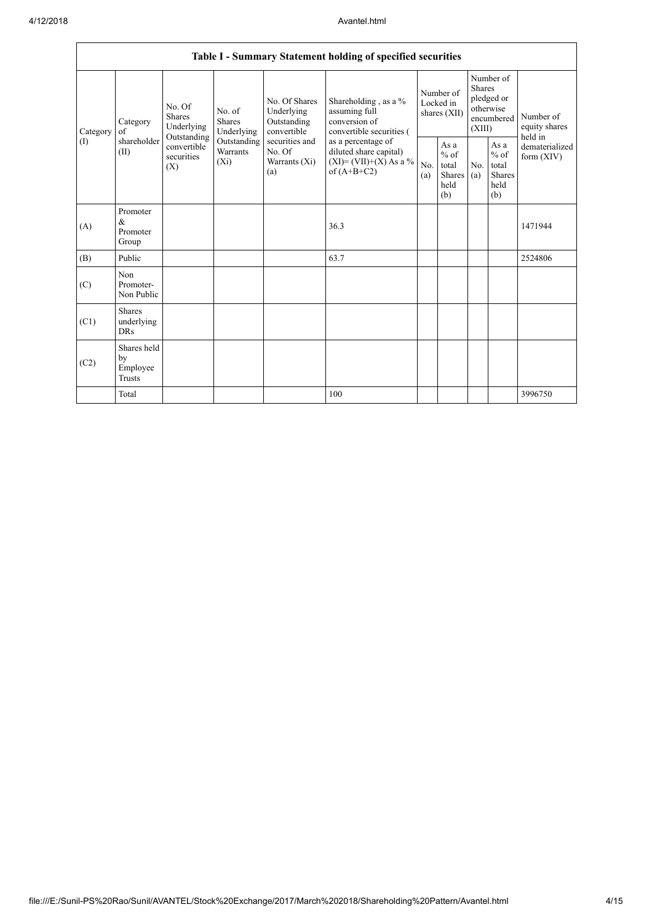| Table I - Summary Statement holding of specified securities |                                                                                                      |             |                                                                             |                                                                                                               |                                                                                                                                                                                      |                                        |                                                  |                                                                               |                                                          |                                       |  |
|-------------------------------------------------------------|------------------------------------------------------------------------------------------------------|-------------|-----------------------------------------------------------------------------|---------------------------------------------------------------------------------------------------------------|--------------------------------------------------------------------------------------------------------------------------------------------------------------------------------------|----------------------------------------|--------------------------------------------------|-------------------------------------------------------------------------------|----------------------------------------------------------|---------------------------------------|--|
| Category<br>(1)                                             | No. Of<br><b>Shares</b><br>Category<br>of<br>Outstanding<br>shareholder<br>(II)<br>securities<br>(X) | Underlying  | No. of<br><b>Shares</b><br>Underlying<br>Outstanding<br>Warrants<br>$(X_i)$ | No. Of Shares<br>Underlying<br>Outstanding<br>convertible<br>securities and<br>No. Of<br>Warrants (Xi)<br>(a) | Shareholding , as a $\%$<br>assuming full<br>conversion of<br>convertible securities (<br>as a percentage of<br>diluted share capital)<br>$(XI) = (VII)+(X) As a %$<br>of $(A+B+C2)$ | Number of<br>Locked in<br>shares (XII) |                                                  | Number of<br><b>Shares</b><br>pledged or<br>otherwise<br>encumbered<br>(XIII) |                                                          | Number of<br>equity shares<br>held in |  |
|                                                             |                                                                                                      | convertible |                                                                             |                                                                                                               |                                                                                                                                                                                      | No.<br>(a)                             | As a<br>$%$ of<br>total<br>Shares<br>held<br>(b) | No.<br>(a)                                                                    | As a<br>$\%$ of<br>total<br><b>Shares</b><br>held<br>(b) | dematerialized<br>form $(XIV)$        |  |
| (A)                                                         | Promoter<br>$\&$<br>Promoter<br>Group                                                                |             |                                                                             |                                                                                                               | 36.3                                                                                                                                                                                 |                                        |                                                  |                                                                               |                                                          | 1471944                               |  |
| (B)                                                         | Public                                                                                               |             |                                                                             |                                                                                                               | 63.7                                                                                                                                                                                 |                                        |                                                  |                                                                               |                                                          | 2524806                               |  |
| (C)                                                         | Non<br>Promoter-<br>Non Public                                                                       |             |                                                                             |                                                                                                               |                                                                                                                                                                                      |                                        |                                                  |                                                                               |                                                          |                                       |  |
| (C1)                                                        | <b>Shares</b><br>underlying<br><b>DRs</b>                                                            |             |                                                                             |                                                                                                               |                                                                                                                                                                                      |                                        |                                                  |                                                                               |                                                          |                                       |  |
| (C2)                                                        | Shares held<br>by<br>Employee<br><b>Trusts</b>                                                       |             |                                                                             |                                                                                                               |                                                                                                                                                                                      |                                        |                                                  |                                                                               |                                                          |                                       |  |
|                                                             | Total                                                                                                |             |                                                                             |                                                                                                               | 100                                                                                                                                                                                  |                                        |                                                  |                                                                               |                                                          | 3996750                               |  |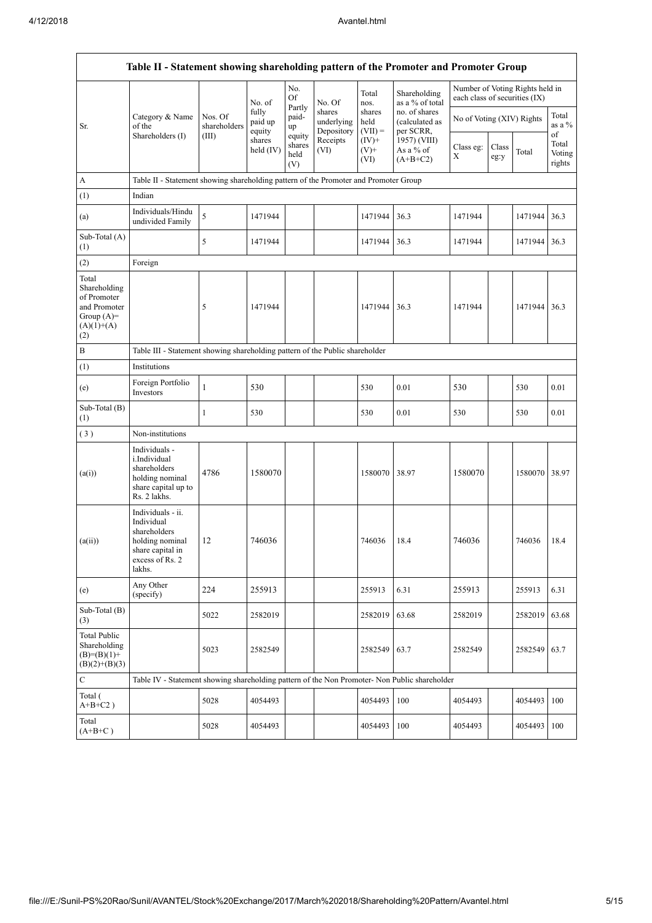$\overline{1}$ 

|                                                                                             | Table II - Statement showing shareholding pattern of the Promoter and Promoter Group                                |                                                                              |                            |                                 |                                    |                             |                                              |                                                                  |               |               |                           |  |  |
|---------------------------------------------------------------------------------------------|---------------------------------------------------------------------------------------------------------------------|------------------------------------------------------------------------------|----------------------------|---------------------------------|------------------------------------|-----------------------------|----------------------------------------------|------------------------------------------------------------------|---------------|---------------|---------------------------|--|--|
|                                                                                             |                                                                                                                     |                                                                              | No. of                     | No.<br>Of                       | No. Of                             | Total<br>nos.               | Shareholding<br>as a % of total              | Number of Voting Rights held in<br>each class of securities (IX) |               |               |                           |  |  |
| Sr.                                                                                         | Category & Name<br>of the                                                                                           | Nos. Of<br>shareholders                                                      | fully<br>paid up<br>equity | Partly<br>paid-<br>up           | shares<br>underlying<br>Depository | shares<br>held<br>$(VII) =$ | no. of shares<br>(calculated as<br>per SCRR, | No of Voting (XIV) Rights                                        |               |               | Total<br>as a %<br>of     |  |  |
|                                                                                             | Shareholders (I)                                                                                                    | (III)                                                                        | shares<br>held (IV)        | equity<br>shares<br>held<br>(V) | Receipts<br>(VI)                   | $(IV)+$<br>$(V)$ +<br>(VI)  | 1957) (VIII)<br>As a % of<br>$(A+B+C2)$      | Class eg:<br>X                                                   | Class<br>eg:y | Total         | Total<br>Voting<br>rights |  |  |
| A                                                                                           | Table II - Statement showing shareholding pattern of the Promoter and Promoter Group                                |                                                                              |                            |                                 |                                    |                             |                                              |                                                                  |               |               |                           |  |  |
| (1)                                                                                         | Indian                                                                                                              |                                                                              |                            |                                 |                                    |                             |                                              |                                                                  |               |               |                           |  |  |
| (a)                                                                                         | Individuals/Hindu<br>undivided Family                                                                               | 5                                                                            | 1471944                    |                                 |                                    | 1471944                     | 36.3                                         | 1471944                                                          |               | 1471944 36.3  |                           |  |  |
| Sub-Total (A)<br>(1)                                                                        |                                                                                                                     | 5                                                                            | 1471944                    |                                 |                                    | 1471944                     | 36.3                                         | 1471944                                                          |               | 1471944       | 36.3                      |  |  |
| (2)                                                                                         | Foreign                                                                                                             |                                                                              |                            |                                 |                                    |                             |                                              |                                                                  |               |               |                           |  |  |
| Total<br>Shareholding<br>of Promoter<br>and Promoter<br>Group $(A)=$<br>$(A)(1)+(A)$<br>(2) |                                                                                                                     | 5                                                                            | 1471944                    |                                 |                                    | 1471944                     | 36.3                                         | 1471944                                                          |               | 1471944       | 36.3                      |  |  |
| $\, {\bf B}$                                                                                |                                                                                                                     | Table III - Statement showing shareholding pattern of the Public shareholder |                            |                                 |                                    |                             |                                              |                                                                  |               |               |                           |  |  |
| (1)                                                                                         | Institutions                                                                                                        |                                                                              |                            |                                 |                                    |                             |                                              |                                                                  |               |               |                           |  |  |
| (e)                                                                                         | Foreign Portfolio<br>Investors                                                                                      | 1                                                                            | 530                        |                                 |                                    | 530                         | 0.01                                         | 530                                                              |               | 530           | 0.01                      |  |  |
| Sub-Total (B)<br>(1)                                                                        |                                                                                                                     | 1                                                                            | 530                        |                                 |                                    | 530                         | 0.01                                         | 530                                                              |               | 530           | 0.01                      |  |  |
| (3)                                                                                         | Non-institutions                                                                                                    |                                                                              |                            |                                 |                                    |                             |                                              |                                                                  |               |               |                           |  |  |
| (a(i))                                                                                      | Individuals -<br>i.Individual<br>shareholders<br>holding nominal<br>share capital up to<br>Rs. 2 lakhs.             | 4786                                                                         | 1580070                    |                                 |                                    | 1580070                     | 38.97                                        | 1580070                                                          |               | 1580070 38.97 |                           |  |  |
| (a(ii))                                                                                     | Individuals - ii.<br>Individual<br>shareholders<br>holding nominal<br>share capital in<br>excess of Rs. 2<br>lakhs. | 12                                                                           | 746036                     |                                 |                                    | 746036                      | 18.4                                         | 746036                                                           |               | 746036        | 18.4                      |  |  |
| (e)                                                                                         | Any Other<br>(specify)                                                                                              | 224                                                                          | 255913                     |                                 |                                    | 255913                      | 6.31                                         | 255913                                                           |               | 255913        | 6.31                      |  |  |
| Sub-Total (B)<br>(3)                                                                        |                                                                                                                     | 5022                                                                         | 2582019                    |                                 |                                    | 2582019                     | 63.68                                        | 2582019                                                          |               | 2582019       | 63.68                     |  |  |
| <b>Total Public</b><br>Shareholding<br>$(B)=(B)(1)+$<br>$(B)(2)+(B)(3)$                     |                                                                                                                     | 5023                                                                         | 2582549                    |                                 |                                    | 2582549                     | 63.7                                         | 2582549                                                          |               | 2582549       | 63.7                      |  |  |
| $\mathbf C$                                                                                 | Table IV - Statement showing shareholding pattern of the Non Promoter- Non Public shareholder                       |                                                                              |                            |                                 |                                    |                             |                                              |                                                                  |               |               |                           |  |  |
| Total (<br>$A+B+C2$ )                                                                       |                                                                                                                     | 5028                                                                         | 4054493                    |                                 |                                    | 4054493                     | 100                                          | 4054493                                                          |               | 4054493       | 100                       |  |  |
| Total<br>$(A+B+C)$                                                                          |                                                                                                                     | 5028                                                                         | 4054493                    |                                 |                                    | 4054493                     | 100                                          | 4054493                                                          |               | 4054493       | 100                       |  |  |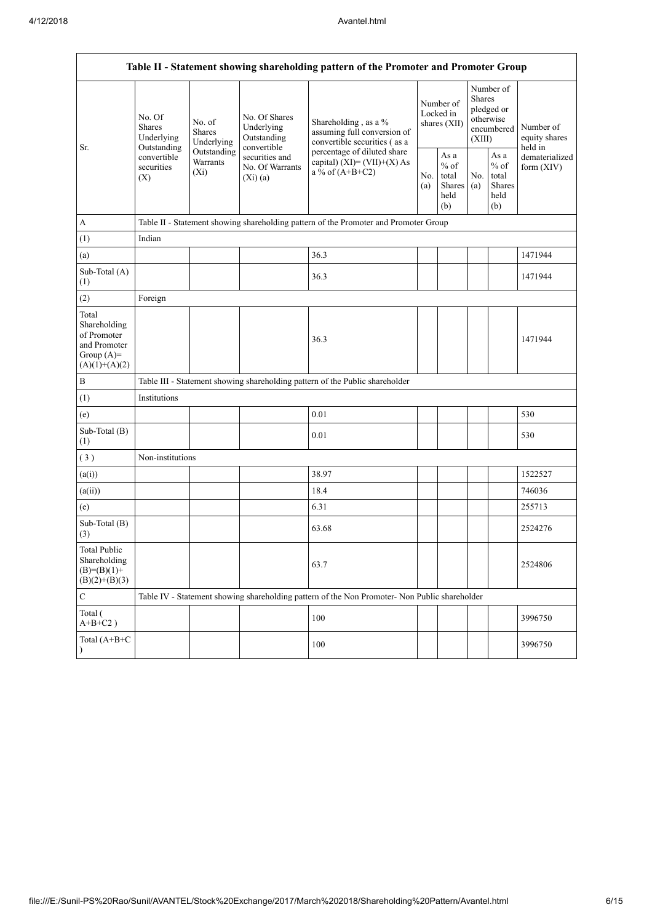**F** 

| Table II - Statement showing shareholding pattern of the Promoter and Promoter Group    |                                                                                       |                                       |                                                           |                                                                                               |                                        |                                                         |                         |                                                         |                                                                         |  |  |
|-----------------------------------------------------------------------------------------|---------------------------------------------------------------------------------------|---------------------------------------|-----------------------------------------------------------|-----------------------------------------------------------------------------------------------|----------------------------------------|---------------------------------------------------------|-------------------------|---------------------------------------------------------|-------------------------------------------------------------------------|--|--|
|                                                                                         | No. Of<br><b>Shares</b><br>Underlying                                                 | No. of<br><b>Shares</b><br>Underlying | No. Of Shares<br>Underlying<br>Outstanding<br>convertible | Shareholding, as a %<br>assuming full conversion of<br>convertible securities (as a           | Number of<br>Locked in<br>shares (XII) |                                                         | <b>Shares</b><br>(XIII) | Number of<br>pledged or<br>otherwise<br>encumbered      | Number of<br>equity shares<br>held in<br>dematerialized<br>form $(XIV)$ |  |  |
| Sr.                                                                                     | Outstanding<br>Outstanding<br>convertible<br>Warrants<br>securities<br>$(X_i)$<br>(X) |                                       | securities and<br>No. Of Warrants<br>(Xi)(a)              | percentage of diluted share<br>capital) $(XI) = (VII)+(X) As$<br>a % of $(A+B+C2)$            | No.<br>(a)                             | As a<br>$%$ of<br>total<br><b>Shares</b><br>held<br>(b) | No.<br>(a)              | As a<br>$%$ of<br>total<br><b>Shares</b><br>held<br>(b) |                                                                         |  |  |
| $\mathbf{A}$                                                                            |                                                                                       |                                       |                                                           | Table II - Statement showing shareholding pattern of the Promoter and Promoter Group          |                                        |                                                         |                         |                                                         |                                                                         |  |  |
| (1)                                                                                     | Indian                                                                                |                                       |                                                           |                                                                                               |                                        |                                                         |                         |                                                         |                                                                         |  |  |
| (a)                                                                                     |                                                                                       |                                       |                                                           | 36.3                                                                                          |                                        |                                                         |                         |                                                         | 1471944                                                                 |  |  |
| Sub-Total (A)<br>(1)                                                                    |                                                                                       |                                       |                                                           | 36.3                                                                                          |                                        |                                                         |                         |                                                         | 1471944                                                                 |  |  |
| (2)                                                                                     | Foreign                                                                               |                                       |                                                           |                                                                                               |                                        |                                                         |                         |                                                         |                                                                         |  |  |
| Total<br>Shareholding<br>of Promoter<br>and Promoter<br>Group $(A)=$<br>$(A)(1)+(A)(2)$ |                                                                                       |                                       |                                                           | 36.3                                                                                          |                                        |                                                         |                         |                                                         | 1471944                                                                 |  |  |
| $\, {\bf B}$                                                                            |                                                                                       |                                       |                                                           | Table III - Statement showing shareholding pattern of the Public shareholder                  |                                        |                                                         |                         |                                                         |                                                                         |  |  |
| (1)                                                                                     | Institutions                                                                          |                                       |                                                           |                                                                                               |                                        |                                                         |                         |                                                         |                                                                         |  |  |
| (e)                                                                                     |                                                                                       |                                       |                                                           | 0.01                                                                                          |                                        |                                                         |                         |                                                         | 530                                                                     |  |  |
| Sub-Total (B)<br>(1)                                                                    |                                                                                       |                                       |                                                           | 0.01                                                                                          |                                        |                                                         |                         |                                                         | 530                                                                     |  |  |
| (3)                                                                                     | Non-institutions                                                                      |                                       |                                                           |                                                                                               |                                        |                                                         |                         |                                                         |                                                                         |  |  |
| (a(i))                                                                                  |                                                                                       |                                       |                                                           | 38.97                                                                                         |                                        |                                                         |                         |                                                         | 1522527                                                                 |  |  |
| (a(ii))                                                                                 |                                                                                       |                                       |                                                           | 18.4                                                                                          |                                        |                                                         |                         |                                                         | 746036                                                                  |  |  |
| (e)                                                                                     |                                                                                       |                                       |                                                           | 6.31                                                                                          |                                        |                                                         |                         |                                                         | 255713                                                                  |  |  |
| Sub-Total (B)<br>(3)                                                                    |                                                                                       |                                       |                                                           | 63.68                                                                                         |                                        |                                                         |                         |                                                         | 2524276                                                                 |  |  |
| <b>Total Public</b><br>Shareholding<br>$(B)=(B)(1)+$<br>$(B)(2)+(B)(3)$                 |                                                                                       |                                       |                                                           | 63.7                                                                                          |                                        |                                                         |                         |                                                         | 2524806                                                                 |  |  |
| $\mathbf C$                                                                             |                                                                                       |                                       |                                                           | Table IV - Statement showing shareholding pattern of the Non Promoter- Non Public shareholder |                                        |                                                         |                         |                                                         |                                                                         |  |  |
| Total (<br>$A+B+C2$ )                                                                   |                                                                                       |                                       |                                                           | 100                                                                                           |                                        |                                                         |                         |                                                         | 3996750                                                                 |  |  |
| Total (A+B+C                                                                            |                                                                                       |                                       |                                                           | 100                                                                                           |                                        |                                                         |                         |                                                         | 3996750                                                                 |  |  |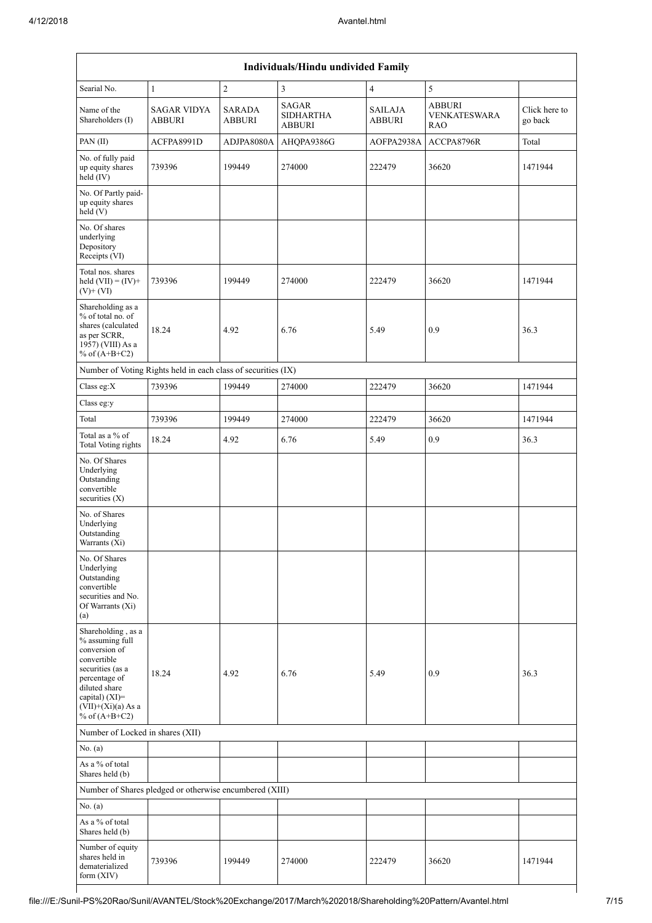| Individuals/Hindu undivided Family                                                                                                                                                          |                                                               |                                |                                                   |                          |                                                    |                          |  |  |  |  |  |
|---------------------------------------------------------------------------------------------------------------------------------------------------------------------------------------------|---------------------------------------------------------------|--------------------------------|---------------------------------------------------|--------------------------|----------------------------------------------------|--------------------------|--|--|--|--|--|
| Searial No.                                                                                                                                                                                 | $\mathbf{1}$                                                  | $\sqrt{2}$                     | $\mathfrak{Z}$                                    | $\overline{4}$           | 5                                                  |                          |  |  |  |  |  |
| Name of the<br>Shareholders (I)                                                                                                                                                             | <b>SAGAR VIDYA</b><br><b>ABBURI</b>                           | <b>SARADA</b><br><b>ABBURI</b> | <b>SAGAR</b><br><b>SIDHARTHA</b><br><b>ABBURI</b> | SAILAJA<br><b>ABBURI</b> | <b>ABBURI</b><br><b>VENKATESWARA</b><br><b>RAO</b> | Click here to<br>go back |  |  |  |  |  |
| PAN(II)                                                                                                                                                                                     | ACFPA8991D                                                    | ADJPA8080A                     | AHQPA9386G                                        | AOFPA2938A               | ACCPA8796R                                         | Total                    |  |  |  |  |  |
| No. of fully paid<br>up equity shares<br>held (IV)                                                                                                                                          | 739396                                                        | 199449                         | 274000                                            | 222479                   | 36620                                              | 1471944                  |  |  |  |  |  |
| No. Of Partly paid-<br>up equity shares<br>held (V)                                                                                                                                         |                                                               |                                |                                                   |                          |                                                    |                          |  |  |  |  |  |
| No. Of shares<br>underlying<br>Depository<br>Receipts (VI)                                                                                                                                  |                                                               |                                |                                                   |                          |                                                    |                          |  |  |  |  |  |
| Total nos. shares<br>held $(VII) = (IV) +$<br>$(V)$ + $(VI)$                                                                                                                                | 739396                                                        | 199449                         | 274000                                            | 222479                   | 36620                                              | 1471944                  |  |  |  |  |  |
| Shareholding as a<br>% of total no. of<br>shares (calculated<br>as per SCRR,<br>1957) (VIII) As a<br>% of $(A+B+C2)$                                                                        | 18.24                                                         | 4.92                           | 6.76                                              | 5.49                     | 0.9                                                | 36.3                     |  |  |  |  |  |
|                                                                                                                                                                                             | Number of Voting Rights held in each class of securities (IX) |                                |                                                   |                          |                                                    |                          |  |  |  |  |  |
| Class eg:X                                                                                                                                                                                  | 739396                                                        | 199449                         | 274000                                            | 222479                   | 36620                                              | 1471944                  |  |  |  |  |  |
| Class eg:y                                                                                                                                                                                  |                                                               |                                |                                                   |                          |                                                    |                          |  |  |  |  |  |
| Total                                                                                                                                                                                       | 739396                                                        | 199449                         | 274000                                            | 222479                   | 36620                                              | 1471944                  |  |  |  |  |  |
| Total as a % of<br>Total Voting rights                                                                                                                                                      | 18.24                                                         | 4.92                           | 6.76                                              | 5.49                     | 0.9                                                | 36.3                     |  |  |  |  |  |
| No. Of Shares<br>Underlying<br>Outstanding<br>convertible<br>securities (X)                                                                                                                 |                                                               |                                |                                                   |                          |                                                    |                          |  |  |  |  |  |
| No. of Shares<br>Underlying<br>Outstanding<br>Warrants (Xi)                                                                                                                                 |                                                               |                                |                                                   |                          |                                                    |                          |  |  |  |  |  |
| No. Of Shares<br>Underlying<br>Outstanding<br>convertible<br>securities and No.<br>Of Warrants (Xi)<br>(a)                                                                                  |                                                               |                                |                                                   |                          |                                                    |                          |  |  |  |  |  |
| Shareholding, as a<br>% assuming full<br>conversion of<br>convertible<br>securities (as a<br>percentage of<br>diluted share<br>capital) $(XI)$ =<br>$(VII)+(Xi)(a)$ As a<br>% of $(A+B+C2)$ | 18.24                                                         | 4.92                           | 6.76                                              | 5.49                     | 0.9                                                | 36.3                     |  |  |  |  |  |
| Number of Locked in shares (XII)                                                                                                                                                            |                                                               |                                |                                                   |                          |                                                    |                          |  |  |  |  |  |
| No. (a)                                                                                                                                                                                     |                                                               |                                |                                                   |                          |                                                    |                          |  |  |  |  |  |
| As a $\%$ of total<br>Shares held (b)                                                                                                                                                       |                                                               |                                |                                                   |                          |                                                    |                          |  |  |  |  |  |
|                                                                                                                                                                                             | Number of Shares pledged or otherwise encumbered (XIII)       |                                |                                                   |                          |                                                    |                          |  |  |  |  |  |
| No. (a)                                                                                                                                                                                     |                                                               |                                |                                                   |                          |                                                    |                          |  |  |  |  |  |
| As a % of total<br>Shares held (b)                                                                                                                                                          |                                                               |                                |                                                   |                          |                                                    |                          |  |  |  |  |  |
| Number of equity<br>shares held in<br>dematerialized<br>form (XIV)                                                                                                                          | 739396                                                        | 199449                         | 274000                                            | 222479                   | 36620                                              | 1471944                  |  |  |  |  |  |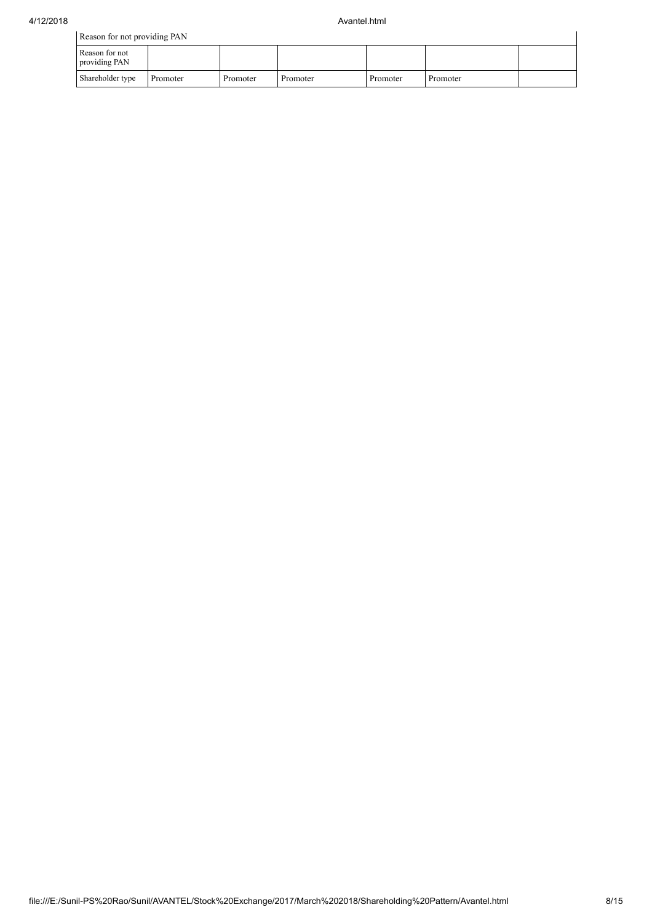| Reason for not providing PAN    |          |          |          |          |          |  |  |  |  |  |  |
|---------------------------------|----------|----------|----------|----------|----------|--|--|--|--|--|--|
| Reason for not<br>providing PAN |          |          |          |          |          |  |  |  |  |  |  |
| Shareholder type                | Promoter | Promoter | Promoter | Promoter | Promoter |  |  |  |  |  |  |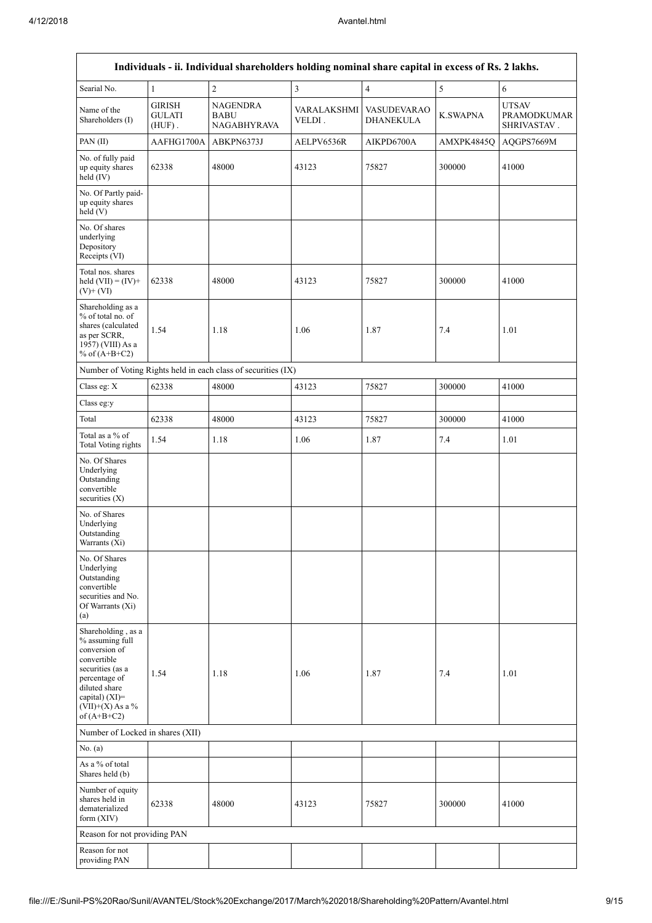l.

|                                                                                                                                                                                      | Individuals - ii. Individual shareholders holding nominal share capital in excess of Rs. 2 lakhs. |                                                               |                         |                                 |                 |                                                   |  |  |  |  |  |
|--------------------------------------------------------------------------------------------------------------------------------------------------------------------------------------|---------------------------------------------------------------------------------------------------|---------------------------------------------------------------|-------------------------|---------------------------------|-----------------|---------------------------------------------------|--|--|--|--|--|
| Searial No.                                                                                                                                                                          | $\mathbf{1}$                                                                                      | $\overline{c}$                                                | $\overline{\mathbf{3}}$ | 4                               | 5               | $\sqrt{6}$                                        |  |  |  |  |  |
| Name of the<br>Shareholders (I)                                                                                                                                                      | <b>GIRISH</b><br><b>GULATI</b><br>$(HUF)$ .                                                       | NAGENDRA<br><b>BABU</b><br><b>NAGABHYRAVA</b>                 | VARALAKSHMI<br>VELDI.   | <b>VASUDEVARAO</b><br>DHANEKULA | <b>K.SWAPNA</b> | <b>UTSAV</b><br><b>PRAMODKUMAR</b><br>SHRIVASTAV. |  |  |  |  |  |
| PAN(II)                                                                                                                                                                              | AAFHG1700A                                                                                        | ABKPN6373J                                                    | AELPV6536R              | AIKPD6700A                      | AMXPK4845Q      | AQGPS7669M                                        |  |  |  |  |  |
| No. of fully paid<br>up equity shares<br>held (IV)                                                                                                                                   | 62338                                                                                             | 48000                                                         | 43123                   | 75827                           | 300000          | 41000                                             |  |  |  |  |  |
| No. Of Partly paid-<br>up equity shares<br>held (V)                                                                                                                                  |                                                                                                   |                                                               |                         |                                 |                 |                                                   |  |  |  |  |  |
| No. Of shares<br>underlying<br>Depository<br>Receipts (VI)                                                                                                                           |                                                                                                   |                                                               |                         |                                 |                 |                                                   |  |  |  |  |  |
| Total nos. shares<br>held $(VII) = (IV) +$<br>$(V)$ + $(VI)$                                                                                                                         | 62338                                                                                             | 48000                                                         | 43123                   | 75827                           | 300000          | 41000                                             |  |  |  |  |  |
| Shareholding as a<br>% of total no. of<br>shares (calculated<br>as per SCRR,<br>1957) (VIII) As a<br>% of $(A+B+C2)$                                                                 | 1.54                                                                                              | 1.18                                                          | 1.06                    | 1.87                            | 7.4             | 1.01                                              |  |  |  |  |  |
|                                                                                                                                                                                      |                                                                                                   | Number of Voting Rights held in each class of securities (IX) |                         |                                 |                 |                                                   |  |  |  |  |  |
| Class eg: X                                                                                                                                                                          | 62338                                                                                             | 48000                                                         | 43123                   | 75827                           | 300000          | 41000                                             |  |  |  |  |  |
| Class eg:y                                                                                                                                                                           |                                                                                                   |                                                               |                         |                                 |                 |                                                   |  |  |  |  |  |
| Total                                                                                                                                                                                | 62338                                                                                             | 48000                                                         | 43123                   | 75827                           | 300000          | 41000                                             |  |  |  |  |  |
| Total as a $\%$ of<br>Total Voting rights                                                                                                                                            | 1.54                                                                                              | 1.18                                                          | 1.06                    | 1.87                            | 7.4             | 1.01                                              |  |  |  |  |  |
| No. Of Shares<br>Underlying<br>Outstanding<br>convertible<br>securities $(X)$                                                                                                        |                                                                                                   |                                                               |                         |                                 |                 |                                                   |  |  |  |  |  |
| No. of Shares<br>Underlying<br>Outstanding<br>Warrants (Xi)                                                                                                                          |                                                                                                   |                                                               |                         |                                 |                 |                                                   |  |  |  |  |  |
| No. Of Shares<br>Underlying<br>Outstanding<br>convertible<br>securities and No.<br>Of Warrants (Xi)<br>(a)                                                                           |                                                                                                   |                                                               |                         |                                 |                 |                                                   |  |  |  |  |  |
| Shareholding, as a<br>% assuming full<br>conversion of<br>convertible<br>securities (as a<br>percentage of<br>diluted share<br>capital) (XI)=<br>$(VII)+(X)$ As a %<br>of $(A+B+C2)$ | 1.54                                                                                              | 1.18                                                          | 1.06                    | 1.87                            | 7.4             | 1.01                                              |  |  |  |  |  |
| Number of Locked in shares (XII)                                                                                                                                                     |                                                                                                   |                                                               |                         |                                 |                 |                                                   |  |  |  |  |  |
| No. (a)                                                                                                                                                                              |                                                                                                   |                                                               |                         |                                 |                 |                                                   |  |  |  |  |  |
| As a % of total<br>Shares held (b)                                                                                                                                                   |                                                                                                   |                                                               |                         |                                 |                 |                                                   |  |  |  |  |  |
| Number of equity<br>shares held in<br>dematerialized<br>form $(XIV)$                                                                                                                 | 62338                                                                                             | 48000                                                         | 43123                   | 75827                           | 300000          | 41000                                             |  |  |  |  |  |
| Reason for not providing PAN                                                                                                                                                         |                                                                                                   |                                                               |                         |                                 |                 |                                                   |  |  |  |  |  |
| Reason for not<br>providing PAN                                                                                                                                                      |                                                                                                   |                                                               |                         |                                 |                 |                                                   |  |  |  |  |  |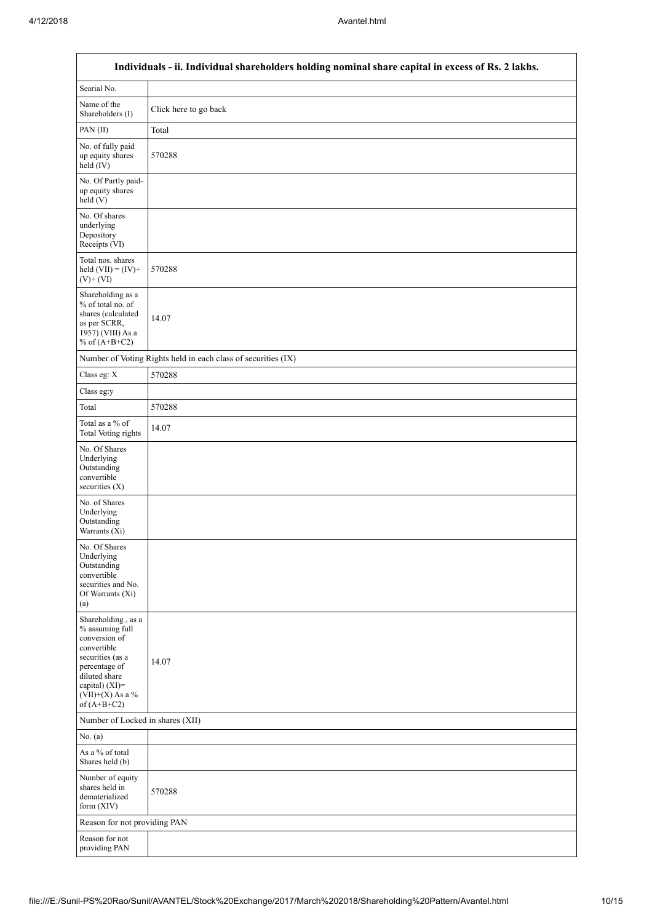$\mathbf{r}$ 

|                                                                                                                                                                                      | Individuals - ii. Individual shareholders holding nominal share capital in excess of Rs. 2 lakhs. |
|--------------------------------------------------------------------------------------------------------------------------------------------------------------------------------------|---------------------------------------------------------------------------------------------------|
| Searial No.                                                                                                                                                                          |                                                                                                   |
| Name of the<br>Shareholders (I)                                                                                                                                                      | Click here to go back                                                                             |
| PAN(II)                                                                                                                                                                              | Total                                                                                             |
| No. of fully paid<br>up equity shares<br>held (IV)                                                                                                                                   | 570288                                                                                            |
| No. Of Partly paid-<br>up equity shares<br>held (V)                                                                                                                                  |                                                                                                   |
| No. Of shares<br>underlying<br>Depository<br>Receipts (VI)                                                                                                                           |                                                                                                   |
| Total nos. shares<br>held $(VII) = (IV) +$<br>$(V)$ + $(VI)$                                                                                                                         | 570288                                                                                            |
| Shareholding as a<br>% of total no. of<br>shares (calculated<br>as per SCRR,<br>1957) (VIII) As a<br>% of $(A+B+C2)$                                                                 | 14.07                                                                                             |
|                                                                                                                                                                                      | Number of Voting Rights held in each class of securities (IX)                                     |
| Class eg: X                                                                                                                                                                          | 570288                                                                                            |
| Class eg:y                                                                                                                                                                           |                                                                                                   |
| Total                                                                                                                                                                                | 570288                                                                                            |
| Total as a % of<br><b>Total Voting rights</b>                                                                                                                                        | 14.07                                                                                             |
| No. Of Shares<br>Underlying<br>Outstanding<br>convertible<br>securities $(X)$                                                                                                        |                                                                                                   |
| No. of Shares<br>Underlying<br>Outstanding<br>Warrants (Xi)                                                                                                                          |                                                                                                   |
| No. Of Shares<br>Underlying<br>Outstanding<br>convertible<br>securities and No.<br>Of Warrants (Xi)<br>(a)                                                                           |                                                                                                   |
| Shareholding, as a<br>% assuming full<br>conversion of<br>convertible<br>securities (as a<br>percentage of<br>diluted share<br>capital) (XI)=<br>$(VII)+(X)$ As a %<br>of $(A+B+C2)$ | 14.07                                                                                             |
| Number of Locked in shares (XII)                                                                                                                                                     |                                                                                                   |
| No. (a)                                                                                                                                                                              |                                                                                                   |
| As a % of total<br>Shares held (b)                                                                                                                                                   |                                                                                                   |
| Number of equity<br>shares held in<br>dematerialized<br>form $(XIV)$                                                                                                                 | 570288                                                                                            |
| Reason for not providing PAN                                                                                                                                                         |                                                                                                   |
| Reason for not<br>providing PAN                                                                                                                                                      |                                                                                                   |

 $\overline{\phantom{0}}$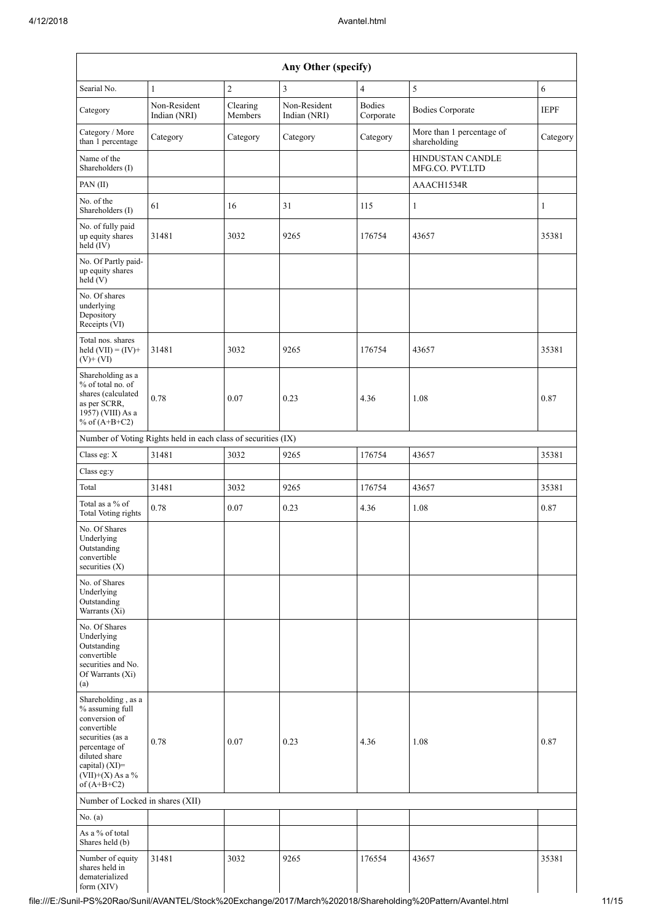|                                                                                                                                                                                      |                                                               |                     | Any Other (specify)          |                            |                                            |             |
|--------------------------------------------------------------------------------------------------------------------------------------------------------------------------------------|---------------------------------------------------------------|---------------------|------------------------------|----------------------------|--------------------------------------------|-------------|
| Searial No.                                                                                                                                                                          | $\mathbf{1}$                                                  | $\overline{c}$      | 3                            | $\overline{4}$             | 5                                          | $\sqrt{6}$  |
| Category                                                                                                                                                                             | Non-Resident<br>Indian (NRI)                                  | Clearing<br>Members | Non-Resident<br>Indian (NRI) | <b>Bodies</b><br>Corporate | <b>Bodies Corporate</b>                    | <b>IEPF</b> |
| Category / More<br>than 1 percentage                                                                                                                                                 | Category                                                      | Category            | Category                     | Category                   | More than 1 percentage of<br>shareholding  | Category    |
| Name of the<br>Shareholders (I)                                                                                                                                                      |                                                               |                     |                              |                            | <b>HINDUSTAN CANDLE</b><br>MFG.CO. PVT.LTD |             |
| PAN(II)                                                                                                                                                                              |                                                               |                     |                              |                            | AAACH1534R                                 |             |
| No. of the<br>Shareholders (I)                                                                                                                                                       | 61                                                            | 16                  | 31                           | 115                        | $\mathbf{1}$                               | 1           |
| No. of fully paid<br>up equity shares<br>held (IV)                                                                                                                                   | 31481                                                         | 3032                | 9265                         | 176754                     | 43657                                      | 35381       |
| No. Of Partly paid-<br>up equity shares<br>held (V)                                                                                                                                  |                                                               |                     |                              |                            |                                            |             |
| No. Of shares<br>underlying<br>Depository<br>Receipts (VI)                                                                                                                           |                                                               |                     |                              |                            |                                            |             |
| Total nos. shares<br>held $(VII) = (IV) +$<br>$(V)$ + $(VI)$                                                                                                                         | 31481                                                         | 3032                | 9265                         | 176754                     | 43657                                      | 35381       |
| Shareholding as a<br>% of total no. of<br>shares (calculated<br>as per SCRR,<br>1957) (VIII) As a<br>% of $(A+B+C2)$                                                                 | 0.78                                                          | 0.07                | 0.23                         | 4.36                       | 1.08                                       | 0.87        |
|                                                                                                                                                                                      | Number of Voting Rights held in each class of securities (IX) |                     |                              |                            |                                            |             |
| Class eg: X                                                                                                                                                                          | 31481                                                         | 3032                | 9265                         | 176754                     | 43657                                      | 35381       |
| Class eg:y                                                                                                                                                                           |                                                               |                     |                              |                            |                                            |             |
| Total                                                                                                                                                                                | 31481                                                         | 3032                | 9265                         | 176754                     | 43657                                      | 35381       |
| Total as a % of<br>Total Voting rights                                                                                                                                               | 0.78                                                          | 0.07                | 0.23                         | 4.36                       | 1.08                                       | 0.87        |
| No. Of Shares<br>Underlying<br>Outstanding<br>convertible<br>securities $(X)$                                                                                                        |                                                               |                     |                              |                            |                                            |             |
| No. of Shares<br>Underlying<br>Outstanding<br>Warrants (Xi)                                                                                                                          |                                                               |                     |                              |                            |                                            |             |
| No. Of Shares<br>Underlying<br>Outstanding<br>convertible<br>securities and No.<br>Of Warrants (Xi)<br>(a)                                                                           |                                                               |                     |                              |                            |                                            |             |
| Shareholding, as a<br>% assuming full<br>conversion of<br>convertible<br>securities (as a<br>percentage of<br>diluted share<br>capital) (XI)=<br>$(VII)+(X)$ As a %<br>of $(A+B+C2)$ | 0.78                                                          | 0.07                | 0.23                         | 4.36                       | 1.08                                       | 0.87        |
| Number of Locked in shares (XII)                                                                                                                                                     |                                                               |                     |                              |                            |                                            |             |
| No. (a)                                                                                                                                                                              |                                                               |                     |                              |                            |                                            |             |
| As a % of total<br>Shares held (b)                                                                                                                                                   |                                                               |                     |                              |                            |                                            |             |
| Number of equity<br>shares held in<br>dematerialized<br>form $(XIV)$                                                                                                                 | 31481                                                         | 3032                | 9265                         | 176554                     | 43657                                      | 35381       |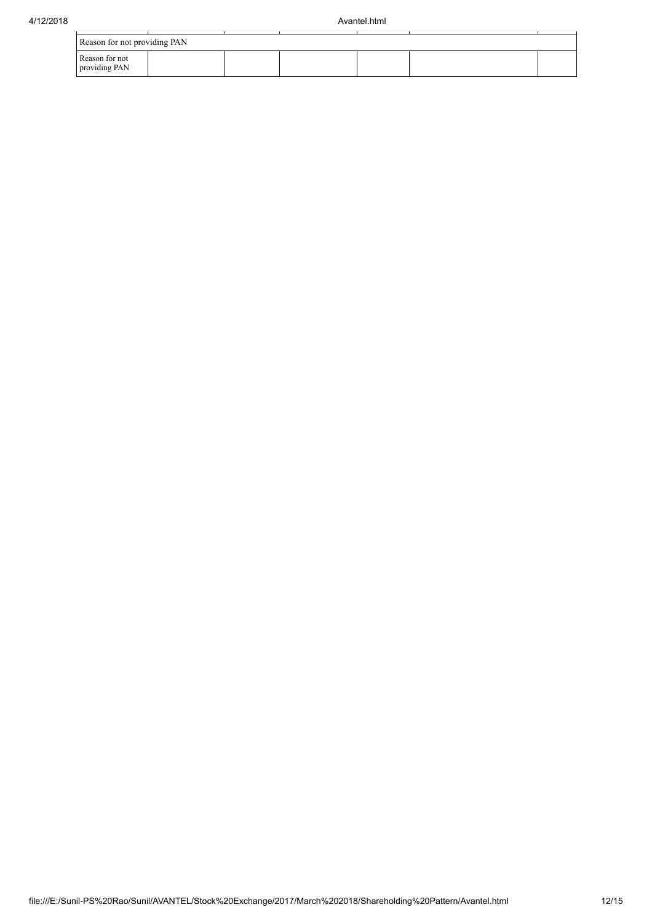|                                 | Reason for not providing PAN |  |  |  |  |  |  |  |  |  |  |  |
|---------------------------------|------------------------------|--|--|--|--|--|--|--|--|--|--|--|
| Reason for not<br>providing PAN |                              |  |  |  |  |  |  |  |  |  |  |  |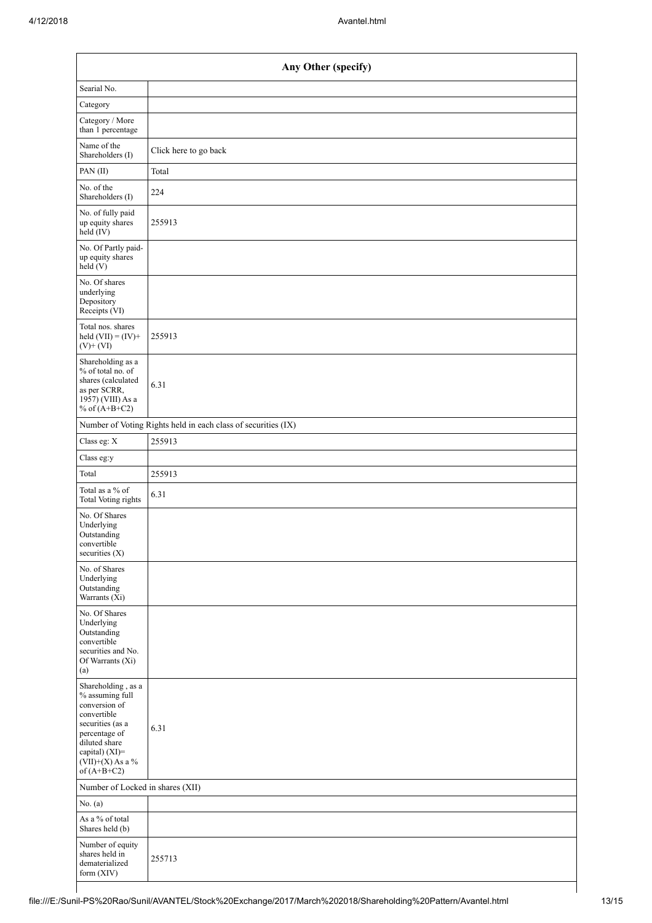| Any Other (specify)                                                                                                                                                                  |                                                               |
|--------------------------------------------------------------------------------------------------------------------------------------------------------------------------------------|---------------------------------------------------------------|
| Searial No.                                                                                                                                                                          |                                                               |
| Category                                                                                                                                                                             |                                                               |
| Category / More<br>than 1 percentage                                                                                                                                                 |                                                               |
| Name of the<br>Shareholders (I)                                                                                                                                                      | Click here to go back                                         |
| PAN(II)                                                                                                                                                                              | Total                                                         |
| No. of the<br>Shareholders (I)                                                                                                                                                       | 224                                                           |
| No. of fully paid<br>up equity shares<br>$\text{held}(\text{IV})$                                                                                                                    | 255913                                                        |
| No. Of Partly paid-<br>up equity shares<br>held(V)                                                                                                                                   |                                                               |
| No. Of shares<br>underlying<br>Depository<br>Receipts (VI)                                                                                                                           |                                                               |
| Total nos. shares<br>held $(VII) = (IV) +$<br>$(V)$ + $(VI)$                                                                                                                         | 255913                                                        |
| Shareholding as a<br>% of total no. of<br>shares (calculated<br>as per SCRR,<br>1957) (VIII) As a<br>% of $(A+B+C2)$                                                                 | 6.31                                                          |
|                                                                                                                                                                                      | Number of Voting Rights held in each class of securities (IX) |
| Class eg: X                                                                                                                                                                          | 255913                                                        |
| Class eg:y                                                                                                                                                                           |                                                               |
| Total                                                                                                                                                                                | 255913                                                        |
| Total as a % of<br><b>Total Voting rights</b>                                                                                                                                        | 6.31                                                          |
|                                                                                                                                                                                      |                                                               |
| No. Of Shares<br>Underlying<br>Outstanding<br>convertible<br>securities (X)                                                                                                          |                                                               |
| No. of Shares<br>Underlying<br>Outstanding<br>Warrants (Xi)                                                                                                                          |                                                               |
| No. Of Shares<br>Underlying<br>Outstanding<br>convertible<br>securities and No.<br>Of Warrants (Xi)<br>(a)                                                                           |                                                               |
| Shareholding, as a<br>% assuming full<br>conversion of<br>convertible<br>securities (as a<br>percentage of<br>diluted share<br>capital) (XI)=<br>$(VII)+(X)$ As a %<br>of $(A+B+C2)$ | 6.31                                                          |
| Number of Locked in shares (XII)                                                                                                                                                     |                                                               |
| No. (a)                                                                                                                                                                              |                                                               |
| As a % of total<br>Shares held (b)                                                                                                                                                   |                                                               |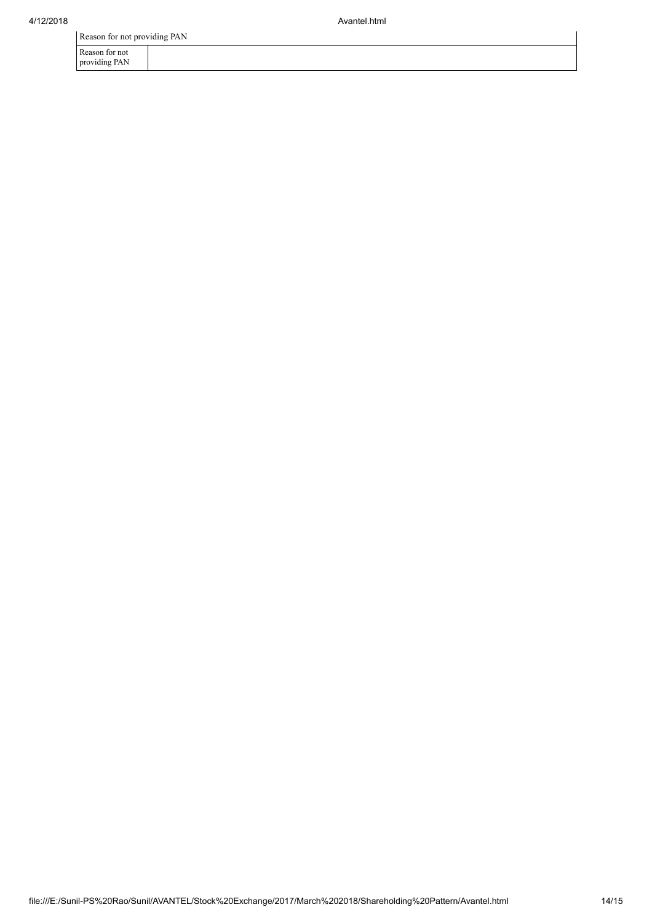Reason for not providing PAN

Reason for not providing PAN